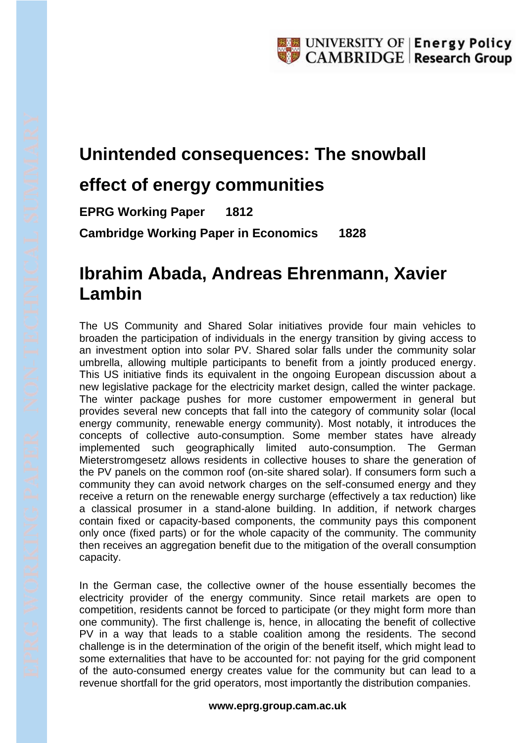## **Unintended consequences: The snowball**

## **effect of energy communities**

**EPRG Working Paper 1812 Cambridge Working Paper in Economics 1828**

## **Ibrahim Abada, Andreas Ehrenmann, Xavier Lambin**

The US Community and Shared Solar initiatives provide four main vehicles to broaden the participation of individuals in the energy transition by giving access to an investment option into solar PV. Shared solar falls under the community solar umbrella, allowing multiple participants to benefit from a jointly produced energy. This US initiative finds its equivalent in the ongoing European discussion about a new legislative package for the electricity market design, called the winter package. The winter package pushes for more customer empowerment in general but provides several new concepts that fall into the category of community solar (local energy community, renewable energy community). Most notably, it introduces the concepts of collective auto-consumption. Some member states have already implemented such geographically limited auto-consumption. The German Mieterstromgesetz allows residents in collective houses to share the generation of the PV panels on the common roof (on-site shared solar). If consumers form such a community they can avoid network charges on the self-consumed energy and they receive a return on the renewable energy surcharge (effectively a tax reduction) like a classical prosumer in a stand-alone building. In addition, if network charges contain fixed or capacity-based components, the community pays this component only once (fixed parts) or for the whole capacity of the community. The community then receives an aggregation benefit due to the mitigation of the overall consumption capacity.

In the German case, the collective owner of the house essentially becomes the electricity provider of the energy community. Since retail markets are open to competition, residents cannot be forced to participate (or they might form more than one community). The first challenge is, hence, in allocating the benefit of collective PV in a way that leads to a stable coalition among the residents. The second challenge is in the determination of the origin of the benefit itself, which might lead to some externalities that have to be accounted for: not paying for the grid component of the auto-consumed energy creates value for the community but can lead to a revenue shortfall for the grid operators, most importantly the distribution companies.

## **www.eprg.group.cam.ac.uk**